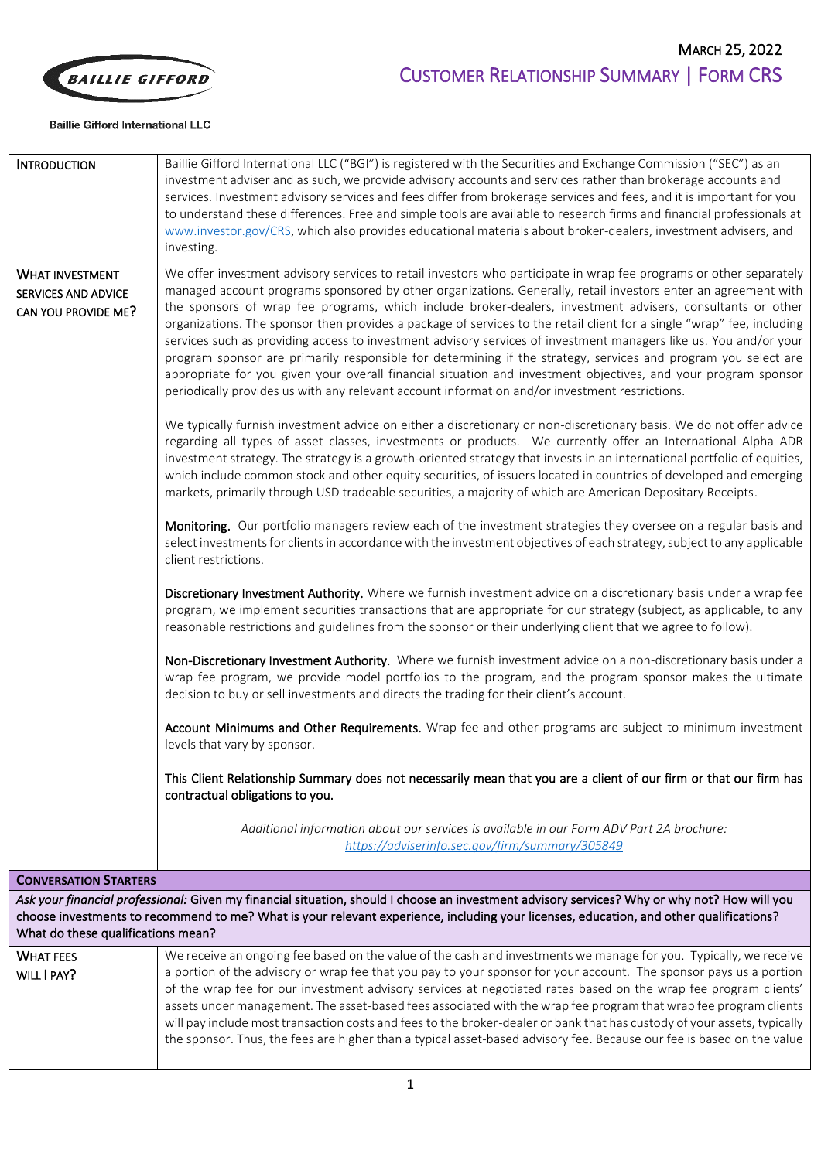

## **Baillie Gifford International LLC**

| <b>INTRODUCTION</b>                                                                                                                                                                                                                                                                                                          | Baillie Gifford International LLC ("BGI") is registered with the Securities and Exchange Commission ("SEC") as an<br>investment adviser and as such, we provide advisory accounts and services rather than brokerage accounts and<br>services. Investment advisory services and fees differ from brokerage services and fees, and it is important for you<br>to understand these differences. Free and simple tools are available to research firms and financial professionals at<br>www.investor.gov/CRS, which also provides educational materials about broker-dealers, investment advisers, and<br>investing.                                                                                                                                                                                                                                                                                                                      |
|------------------------------------------------------------------------------------------------------------------------------------------------------------------------------------------------------------------------------------------------------------------------------------------------------------------------------|-----------------------------------------------------------------------------------------------------------------------------------------------------------------------------------------------------------------------------------------------------------------------------------------------------------------------------------------------------------------------------------------------------------------------------------------------------------------------------------------------------------------------------------------------------------------------------------------------------------------------------------------------------------------------------------------------------------------------------------------------------------------------------------------------------------------------------------------------------------------------------------------------------------------------------------------|
| <b>WHAT INVESTMENT</b><br><b>SERVICES AND ADVICE</b><br>CAN YOU PROVIDE ME?                                                                                                                                                                                                                                                  | We offer investment advisory services to retail investors who participate in wrap fee programs or other separately<br>managed account programs sponsored by other organizations. Generally, retail investors enter an agreement with<br>the sponsors of wrap fee programs, which include broker-dealers, investment advisers, consultants or other<br>organizations. The sponsor then provides a package of services to the retail client for a single "wrap" fee, including<br>services such as providing access to investment advisory services of investment managers like us. You and/or your<br>program sponsor are primarily responsible for determining if the strategy, services and program you select are<br>appropriate for you given your overall financial situation and investment objectives, and your program sponsor<br>periodically provides us with any relevant account information and/or investment restrictions. |
|                                                                                                                                                                                                                                                                                                                              | We typically furnish investment advice on either a discretionary or non-discretionary basis. We do not offer advice<br>regarding all types of asset classes, investments or products. We currently offer an International Alpha ADR<br>investment strategy. The strategy is a growth-oriented strategy that invests in an international portfolio of equities,<br>which include common stock and other equity securities, of issuers located in countries of developed and emerging<br>markets, primarily through USD tradeable securities, a majority of which are American Depositary Receipts.                                                                                                                                                                                                                                                                                                                                       |
|                                                                                                                                                                                                                                                                                                                              | Monitoring. Our portfolio managers review each of the investment strategies they oversee on a regular basis and<br>select investments for clients in accordance with the investment objectives of each strategy, subject to any applicable<br>client restrictions.                                                                                                                                                                                                                                                                                                                                                                                                                                                                                                                                                                                                                                                                      |
|                                                                                                                                                                                                                                                                                                                              | Discretionary Investment Authority. Where we furnish investment advice on a discretionary basis under a wrap fee<br>program, we implement securities transactions that are appropriate for our strategy (subject, as applicable, to any<br>reasonable restrictions and guidelines from the sponsor or their underlying client that we agree to follow).                                                                                                                                                                                                                                                                                                                                                                                                                                                                                                                                                                                 |
|                                                                                                                                                                                                                                                                                                                              | Non-Discretionary Investment Authority. Where we furnish investment advice on a non-discretionary basis under a<br>wrap fee program, we provide model portfolios to the program, and the program sponsor makes the ultimate<br>decision to buy or sell investments and directs the trading for their client's account.                                                                                                                                                                                                                                                                                                                                                                                                                                                                                                                                                                                                                  |
|                                                                                                                                                                                                                                                                                                                              | Account Minimums and Other Requirements. Wrap fee and other programs are subject to minimum investment<br>levels that vary by sponsor.                                                                                                                                                                                                                                                                                                                                                                                                                                                                                                                                                                                                                                                                                                                                                                                                  |
|                                                                                                                                                                                                                                                                                                                              | This Client Relationship Summary does not necessarily mean that you are a client of our firm or that our firm has<br>contractual obligations to you.                                                                                                                                                                                                                                                                                                                                                                                                                                                                                                                                                                                                                                                                                                                                                                                    |
|                                                                                                                                                                                                                                                                                                                              | Additional information about our services is available in our Form ADV Part 2A brochure:<br>https://adviserinfo.sec.gov/firm/summary/305849                                                                                                                                                                                                                                                                                                                                                                                                                                                                                                                                                                                                                                                                                                                                                                                             |
| <b>CONVERSATION STARTERS</b>                                                                                                                                                                                                                                                                                                 |                                                                                                                                                                                                                                                                                                                                                                                                                                                                                                                                                                                                                                                                                                                                                                                                                                                                                                                                         |
| Ask your financial professional: Given my financial situation, should I choose an investment advisory services? Why or why not? How will you<br>choose investments to recommend to me? What is your relevant experience, including your licenses, education, and other qualifications?<br>What do these qualifications mean? |                                                                                                                                                                                                                                                                                                                                                                                                                                                                                                                                                                                                                                                                                                                                                                                                                                                                                                                                         |
| <b>WHAT FEES</b>                                                                                                                                                                                                                                                                                                             | We receive an ongoing fee based on the value of the cash and investments we manage for you. Typically, we receive                                                                                                                                                                                                                                                                                                                                                                                                                                                                                                                                                                                                                                                                                                                                                                                                                       |
| WILL I PAY?                                                                                                                                                                                                                                                                                                                  | a portion of the advisory or wrap fee that you pay to your sponsor for your account. The sponsor pays us a portion<br>of the wrap fee for our investment advisory services at negotiated rates based on the wrap fee program clients'<br>assets under management. The asset-based fees associated with the wrap fee program that wrap fee program clients<br>will pay include most transaction costs and fees to the broker-dealer or bank that has custody of your assets, typically<br>the sponsor. Thus, the fees are higher than a typical asset-based advisory fee. Because our fee is based on the value                                                                                                                                                                                                                                                                                                                          |